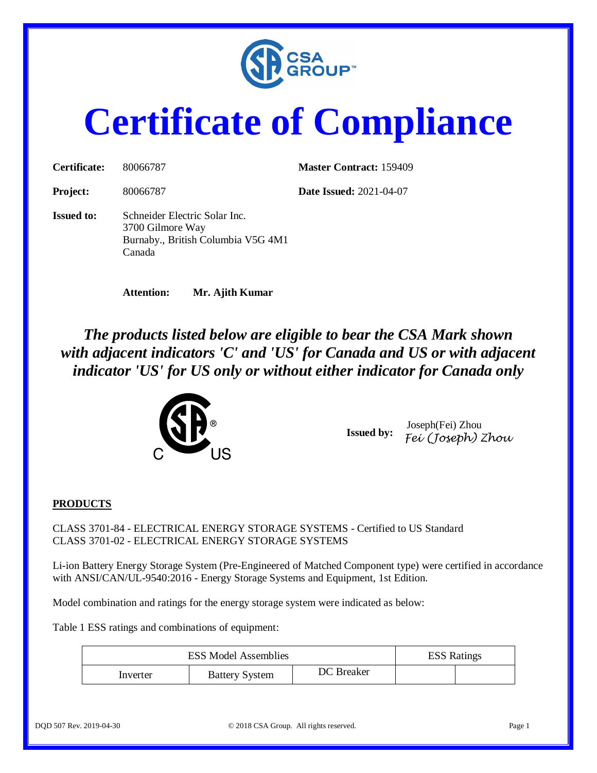

## **Certificate of Compliance**

| Certificate:      | 80066787                                                                                          | <b>Master Contract: 159409</b> |
|-------------------|---------------------------------------------------------------------------------------------------|--------------------------------|
| <b>Project:</b>   | 80066787                                                                                          | <b>Date Issued: 2021-04-07</b> |
| <b>Issued to:</b> | Schneider Electric Solar Inc.<br>3700 Gilmore Way<br>Burnaby., British Columbia V5G 4M1<br>Canada |                                |

**Attention: Mr. Ajith Kumar**

*The products listed below are eligible to bear the CSA Mark shown with adjacent indicators 'C' and 'US' for Canada and US or with adjacent indicator 'US' for US only or without either indicator for Canada only* 



**Issued by:**

Joseph(Fei) Zhou *Fei (Joseph) Zhou* 

## **PRODUCTS**

CLASS 3701-84 - ELECTRICAL ENERGY STORAGE SYSTEMS - Certified to US Standard CLASS 3701-02 - ELECTRICAL ENERGY STORAGE SYSTEMS

Li-ion Battery Energy Storage System (Pre-Engineered of Matched Component type) were certified in accordance with ANSI/CAN/UL-9540:2016 - Energy Storage Systems and Equipment, 1st Edition.

Model combination and ratings for the energy storage system were indicated as below:

Table 1 ESS ratings and combinations of equipment:

| <b>ESS Model Assemblies</b> | <b>ESS Ratings</b>    |            |  |  |
|-----------------------------|-----------------------|------------|--|--|
| Inverter                    | <b>Battery System</b> | DC Breaker |  |  |